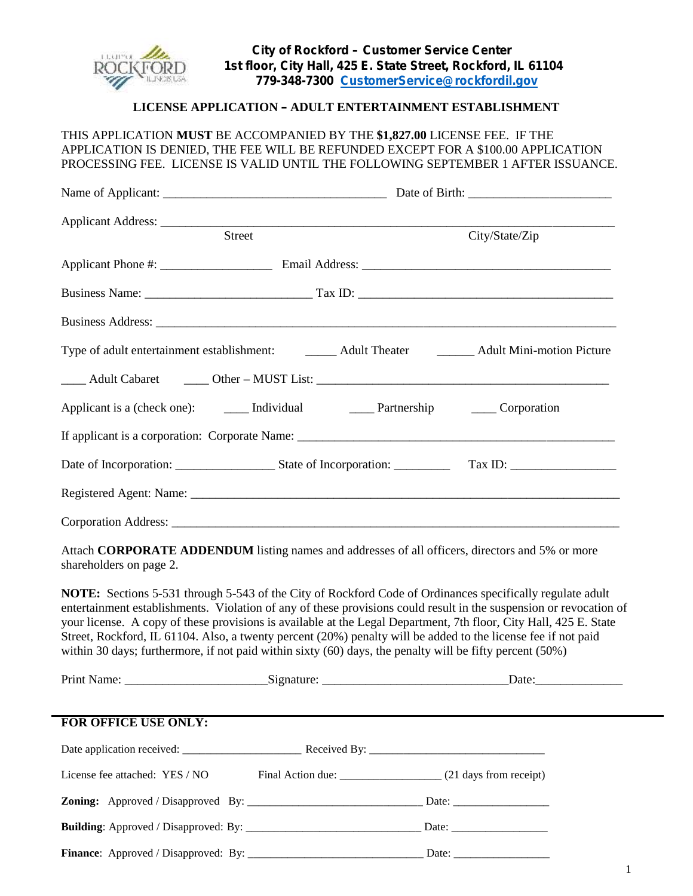

## **LICENSE APPLICATION – ADULT ENTERTAINMENT ESTABLISHMENT**

THIS APPLICATION **MUST** BE ACCOMPANIED BY THE **\$1,827.00** LICENSE FEE. IF THE APPLICATION IS DENIED, THE FEE WILL BE REFUNDED EXCEPT FOR A \$100.00 APPLICATION PROCESSING FEE. LICENSE IS VALID UNTIL THE FOLLOWING SEPTEMBER 1 AFTER ISSUANCE.

|                                | Applicant Address: <u>Street City/Street City/Street City/Street</u>                                                                                                                                                                                                                                                                                                                                                                                                                                                                                                                          |                |  |
|--------------------------------|-----------------------------------------------------------------------------------------------------------------------------------------------------------------------------------------------------------------------------------------------------------------------------------------------------------------------------------------------------------------------------------------------------------------------------------------------------------------------------------------------------------------------------------------------------------------------------------------------|----------------|--|
|                                |                                                                                                                                                                                                                                                                                                                                                                                                                                                                                                                                                                                               | City/State/Zip |  |
|                                |                                                                                                                                                                                                                                                                                                                                                                                                                                                                                                                                                                                               |                |  |
|                                |                                                                                                                                                                                                                                                                                                                                                                                                                                                                                                                                                                                               |                |  |
|                                |                                                                                                                                                                                                                                                                                                                                                                                                                                                                                                                                                                                               |                |  |
|                                | Type of adult entertainment establishment:<br>Adult Theater Adult Mini-motion Picture                                                                                                                                                                                                                                                                                                                                                                                                                                                                                                         |                |  |
|                                |                                                                                                                                                                                                                                                                                                                                                                                                                                                                                                                                                                                               |                |  |
|                                |                                                                                                                                                                                                                                                                                                                                                                                                                                                                                                                                                                                               |                |  |
|                                |                                                                                                                                                                                                                                                                                                                                                                                                                                                                                                                                                                                               |                |  |
|                                |                                                                                                                                                                                                                                                                                                                                                                                                                                                                                                                                                                                               |                |  |
|                                |                                                                                                                                                                                                                                                                                                                                                                                                                                                                                                                                                                                               |                |  |
|                                |                                                                                                                                                                                                                                                                                                                                                                                                                                                                                                                                                                                               |                |  |
| shareholders on page 2.        | Attach CORPORATE ADDENDUM listing names and addresses of all officers, directors and 5% or more                                                                                                                                                                                                                                                                                                                                                                                                                                                                                               |                |  |
|                                | <b>NOTE:</b> Sections 5-531 through 5-543 of the City of Rockford Code of Ordinances specifically regulate adult<br>entertainment establishments. Violation of any of these provisions could result in the suspension or revocation of<br>your license. A copy of these provisions is available at the Legal Department, 7th floor, City Hall, 425 E. State<br>Street, Rockford, IL 61104. Also, a twenty percent (20%) penalty will be added to the license fee if not paid<br>within 30 days; furthermore, if not paid within sixty $(60)$ days, the penalty will be fifty percent $(50\%)$ |                |  |
|                                |                                                                                                                                                                                                                                                                                                                                                                                                                                                                                                                                                                                               |                |  |
|                                |                                                                                                                                                                                                                                                                                                                                                                                                                                                                                                                                                                                               |                |  |
| <b>FOR OFFICE USE ONLY:</b>    |                                                                                                                                                                                                                                                                                                                                                                                                                                                                                                                                                                                               |                |  |
|                                |                                                                                                                                                                                                                                                                                                                                                                                                                                                                                                                                                                                               |                |  |
| License fee attached: YES / NO |                                                                                                                                                                                                                                                                                                                                                                                                                                                                                                                                                                                               |                |  |

**Zoning:** Approved / Disapproved By: \_\_\_\_\_\_\_\_\_\_\_\_\_\_\_\_\_\_\_\_\_\_\_\_\_\_\_\_\_\_\_ Date: \_\_\_\_\_\_\_\_\_\_\_\_\_\_\_\_\_

**Building**: Approved / Disapproved: By: \_\_\_\_\_\_\_\_\_\_\_\_\_\_\_\_\_\_\_\_\_\_\_\_\_\_\_\_\_\_\_ Date: \_\_\_\_\_\_\_\_\_\_\_\_\_\_\_\_\_ **Finance**: Approved / Disapproved: By: \_\_\_\_\_\_\_\_\_\_\_\_\_\_\_\_\_\_\_\_\_\_\_\_\_\_\_\_\_\_\_ Date: \_\_\_\_\_\_\_\_\_\_\_\_\_\_\_\_\_